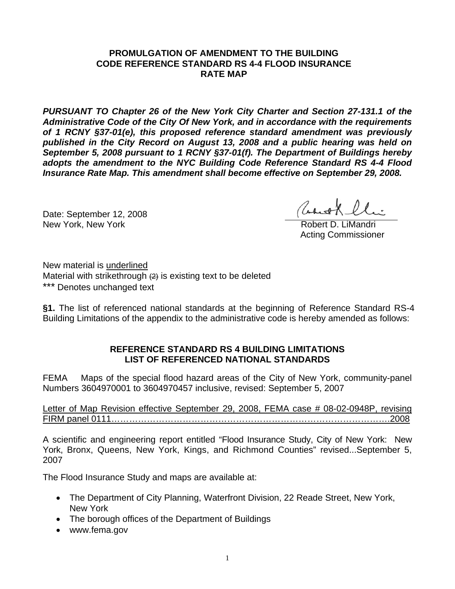## **PROMULGATION OF AMENDMENT TO THE BUILDING CODE REFERENCE STANDARD RS 4-4 FLOOD INSURANCE RATE MAP**

*PURSUANT TO Chapter 26 of the New York City Charter and Section 27-131.1 of the Administrative Code of the City Of New York, and in accordance with the requirements of 1 RCNY §37-01(e), this proposed reference standard amendment was previously published in the City Record on August 13, 2008 and a public hearing was held on September 5, 2008 pursuant to 1 RCNY §37-01(f). The Department of Buildings hereby adopts the amendment to the NYC Building Code Reference Standard RS 4-4 Flood Insurance Rate Map. This amendment shall become effective on September 29, 2008.* 

Date: September 12, 2008 New York, New York **Robert D. LiMandri** Robert D. LiMandri

Acting Commissioner

New material is underlined Material with strikethrough  $(2)$  is existing text to be deleted \*\*\* Denotes unchanged text

**§1.** The list of referenced national standards at the beginning of Reference Standard RS-4 Building Limitations of the appendix to the administrative code is hereby amended as follows:

## **REFERENCE STANDARD RS 4 BUILDING LIMITATIONS LIST OF REFERENCED NATIONAL STANDARDS**

FEMA Maps of the special flood hazard areas of the City of New York, community-panel Numbers 3604970001 to 3604970457 inclusive, revised: September 5, 2007

Letter of Map Revision effective September 29, 2008, FEMA case # 08-02-0948P, revising FIRM panel 0111………………………………………………………………………………….2008

A scientific and engineering report entitled "Flood Insurance Study, City of New York: New York, Bronx, Queens, New York, Kings, and Richmond Counties" revised...September 5, 2007

The Flood Insurance Study and maps are available at:

- The Department of City Planning, Waterfront Division, 22 Reade Street, New York, New York
- The borough offices of the Department of Buildings
- www.fema.gov